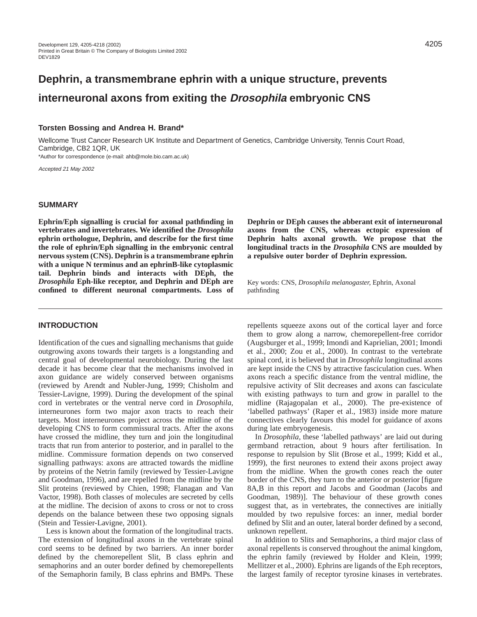# **Dephrin, a transmembrane ephrin with a unique structure, prevents interneuronal axons from exiting the Drosophila embryonic CNS**

### **Torsten Bossing and Andrea H. Brand\***

Wellcome Trust Cancer Research UK Institute and Department of Genetics, Cambridge University, Tennis Court Road, Cambridge, CB2 1QR, UK

\*Author for correspondence (e-mail: ahb@mole.bio.cam.ac.uk)

Accepted 21 May 2002

### **SUMMARY**

**Ephrin/Eph signalling is crucial for axonal pathfinding in vertebrates and invertebrates. We identified the** *Drosophila* **ephrin orthologue, Dephrin, and describe for the first time the role of ephrin/Eph signalling in the embryonic central nervous system (CNS). Dephrin is a transmembrane ephrin with a unique N terminus and an ephrinB-like cytoplasmic tail. Dephrin binds and interacts with DEph, the** *Drosophila* **Eph-like receptor, and Dephrin and DEph are confined to different neuronal compartments. Loss of**

# **INTRODUCTION**

Identification of the cues and signalling mechanisms that guide outgrowing axons towards their targets is a longstanding and central goal of developmental neurobiology. During the last decade it has become clear that the mechanisms involved in axon guidance are widely conserved between organisms (reviewed by Arendt and Nubler-Jung, 1999; Chisholm and Tessier-Lavigne, 1999). During the development of the spinal cord in vertebrates or the ventral nerve cord in *Drosophila*, interneurones form two major axon tracts to reach their targets. Most interneurones project across the midline of the developing CNS to form commissural tracts. After the axons have crossed the midline, they turn and join the longitudinal tracts that run from anterior to posterior, and in parallel to the midline. Commissure formation depends on two conserved signalling pathways: axons are attracted towards the midline by proteins of the Netrin family (reviewed by Tessier-Lavigne and Goodman, 1996), and are repelled from the midline by the Slit proteins (reviewed by Chien, 1998; Flanagan and Van Vactor, 1998). Both classes of molecules are secreted by cells at the midline. The decision of axons to cross or not to cross depends on the balance between these two opposing signals (Stein and Tessier-Lavigne, 2001).

Less is known about the formation of the longitudinal tracts. The extension of longitudinal axons in the vertebrate spinal cord seems to be defined by two barriers. An inner border defined by the chemorepellent Slit, B class ephrin and semaphorins and an outer border defined by chemorepellents of the Semaphorin family, B class ephrins and BMPs. These

**Dephrin or DEph causes the abberant exit of interneuronal axons from the CNS, whereas ectopic expression of Dephrin halts axonal growth. We propose that the longitudinal tracts in the** *Drosophila* **CNS are moulded by a repulsive outer border of Dephrin expression.**

Key words: CNS, *Drosophila melanogaster,* Ephrin, Axonal pathfinding

repellents squeeze axons out of the cortical layer and force them to grow along a narrow, chemorepellent-free corridor (Augsburger et al., 1999; Imondi and Kaprielian, 2001; Imondi et al., 2000; Zou et al., 2000). In contrast to the vertebrate spinal cord, it is believed that in *Drosophila* longitudinal axons are kept inside the CNS by attractive fasciculation cues. When axons reach a specific distance from the ventral midline, the repulsive activity of Slit decreases and axons can fasciculate with existing pathways to turn and grow in parallel to the midline (Rajagopalan et al., 2000). The pre-existence of 'labelled pathways' (Raper et al., 1983) inside more mature connectives clearly favours this model for guidance of axons during late embryogenesis.

In *Drosophila*, these 'labelled pathways' are laid out during germband retraction, about 9 hours after fertilisation. In response to repulsion by Slit (Brose et al., 1999; Kidd et al., 1999), the first neurones to extend their axons project away from the midline. When the growth cones reach the outer border of the CNS, they turn to the anterior or posterior [figure 8A,B in this report and Jacobs and Goodman (Jacobs and Goodman, 1989)]. The behaviour of these growth cones suggest that, as in vertebrates, the connectives are initially moulded by two repulsive forces: an inner, medial border defined by Slit and an outer, lateral border defined by a second, unknown repellent.

In addition to Slits and Semaphorins, a third major class of axonal repellents is conserved throughout the animal kingdom, the ephrin family (reviewed by Holder and Klein, 1999; Mellitzer et al., 2000). Ephrins are ligands of the Eph receptors, the largest family of receptor tyrosine kinases in vertebrates.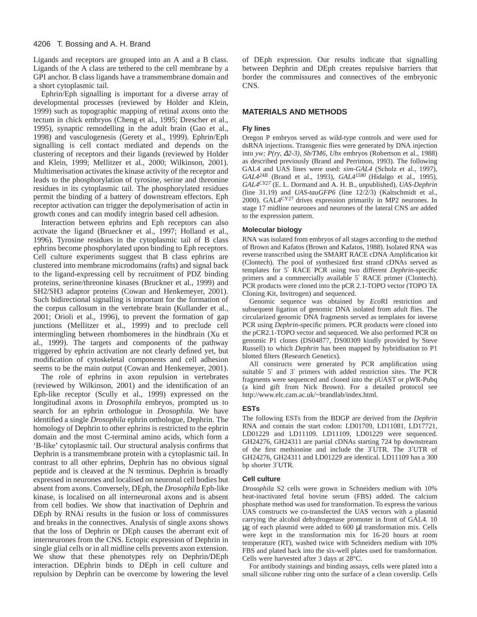Ligands and receptors are grouped into an A and a B class. Ligands of the A class are tethered to the cell membrane by a GPI anchor. B class ligands have a transmembrane domain and a short cytoplasmic tail.

Ephrin/Eph signalling is important for a diverse array of developmental processes (reviewed by Holder and Klein, 1999) such as topographic mapping of retinal axons onto the tectum in chick embryos (Cheng et al., 1995; Drescher et al., 1995), synaptic remodelling in the adult brain (Gao et al., 1998) and vasculogenesis (Gerety et al., 1999). Ephrin/Eph signalling is cell contact mediated and depends on the clustering of receptors and their ligands (reviewed by Holder and Klein, 1999; Mellitzer et al., 2000; Wilkinson, 2001). Multimerisation activates the kinase activity of the receptor and leads to the phosphorylation of tyrosine, serine and threonine residues in its cytoplasmic tail. The phosphorylated residues permit the binding of a battery of downstream effectors. Eph receptor activation can trigger the depolymerisation of actin in growth cones and can modify integrin based cell adhesion.

Interaction between ephrins and Eph receptors can also activate the ligand (Brueckner et al., 1997; Holland et al., 1996). Tyrosine residues in the cytoplasmic tail of B class ephrins become phosphorylated upon binding to Eph receptors. Cell culture experiments suggest that B class ephrins are clustered into membrane microdomains (rafts) and signal back to the ligand-expressing cell by recruitment of PDZ binding proteins, serine/threonine kinases (Bruckner et al., 1999) and SH2/SH3 adaptor proteins (Cowan and Henkemeyer, 2001). Such bidirectional signalling is important for the formation of the corpus callosum in the vertebrate brain (Kullander et al., 2001; Orioli et al., 1996), to prevent the formation of gap junctions (Mellitzer et al., 1999) and to preclude cell intermingling between rhombomeres in the hindbrain (Xu et al., 1999). The targets and components of the pathway triggered by ephrin activation are not clearly defined yet, but modification of cytoskeletal components and cell adhesion seems to be the main output (Cowan and Henkemeyer, 2001).

The role of ephrins in axon repulsion in vertebrates (reviewed by Wilkinson, 2001) and the identification of an Eph-like receptor (Scully et al., 1999) expressed on the longitudinal axons in *Drosophila* embryos, prompted us to search for an ephrin orthologue in *Drosophila*. We have identified a single *Drosophila* ephrin orthologue, Dephrin. The homology of Dephrin to other ephrins is restricted to the ephrin domain and the most C-terminal amino acids, which form a 'B-like' cytoplasmic tail. Our structural analysis confirms that Dephrin is a transmembrane protein with a cytoplasmic tail. In contrast to all other ephrins, Dephrin has no obvious signal peptide and is cleaved at the N terminus. Dephrin is broadly expressed in neurones and localised on neuronal cell bodies but absent from axons. Conversely, DEph, the *Drosophila* Eph-like kinase, is localised on all interneuronal axons and is absent from cell bodies. We show that inactivation of Dephrin and DEph by RNAi results in the fusion or loss of commissures and breaks in the connectives. Analysis of single axons shows that the loss of Dephrin or DEph causes the aberrant exit of interneurones from the CNS. Ectopic expression of Dephrin in single glial cells or in all midline cells prevents axon extension. We show that these phenotypes rely on Dephrin/DEph interaction. DEphrin binds to DEph in cell culture and repulsion by Dephrin can be overcome by lowering the level

of DEph expression. Our results indicate that signalling between Dephrin and DEph creates repulsive barriers that border the commissures and connectives of the embryonic CNS.

### **MATERIALS AND METHODS**

#### **Fly lines**

Oregon P embryos served as wild-type controls and were used for dsRNA injections. Transgenic flies were generated by DNA injection into *yw; P(ry,* ∆*2-3), Sb/TM6, Ubx* embryos (Robertson et al., 1988) as described previously (Brand and Perrimon, 1993). The following GAL4 and UAS lines were used: *sim-GAL4* (Scholz et al., 1997), *GAL424B* (Brand et al., 1993), *GAL41580* (Hidalgo et al., 1995)*, GAL4CY27* (E. L. Dormand and A. H. B., unpublished), *UAS-Dephrin* (line 31.19) and *UAS-tauGFP6* (line 12/2/3) (Kaltschmidt et al., 2000). GAL4CY27 drives expression primarily in MP2 neurones. In stage 17 midline neurones and neurones of the lateral CNS are added to the expression pattern.

#### **Molecular biology**

RNA was isolated from embryos of all stages according to the method of Brown and Kafatos (Brown and Kafatos, 1988). Isolated RNA was reverse transcribed using the SMART RACE cDNA Amplification kit (Clontech). The pool of synthesized first strand cDNAs served as templates for 5′ RACE PCR using two different *Dephrin*-specific primers and a commercially available 5′ RACE primer (Clontech). PCR products were cloned into the pCR 2.1-TOPO vector (TOPO TA Cloning Kit, Invitrogen) and sequenced.

Genomic sequence was obtained by *Eco*RI restriction and subsequent ligation of genomic DNA isolated from adult flies. The circularized genomic DNA fragments served as templates for inverse PCR using *Dephrin*-specific primers. PCR products were cloned into the pCR2.1-TOPO vector and sequenced. We also performed PCR on genomic P1 clones (DS04877, DS00309 kindly provided by Steve Russell) to which *Dephrin* has been mapped by hybridisation to P1 blotted filters (Research Genetics).

All constructs were generated by PCR amplification using suitable 5′ and 3′ primers with added restriction sites. The PCR fragments were sequenced and cloned into the pUAST or pWR-Pubq (a kind gift from Nick Brown). For a detailed protocol see [http://www.elc.cam.ac.uk/~brandlab/index.html.](http://www.elc.cam.ac.uk/~brandlab/index.html)

#### **ESTs**

The following ESTs from the BDGP are derived from the *Dephrin* RNA and contain the start codon: LD01709, LD11081, LD17721, LD01229 and LD11109. LD11109, LD01229 were sequenced. GH24276, GH24311 are partial cDNAs starting 724 bp downstream of the first methionine and include the 3′UTR. The 3′UTR of GH24276, GH24311 and LD01229 are identical. LD11109 has a 300 bp shorter 3′UTR.

#### **Cell culture**

*Drosophila* S2 cells were grown in Schneiders medium with 10% heat-inactivated fetal bovine serum (FBS) added. The calcium phosphate method was used for transformation. To express the various UAS constructs we co-transfected the UAS vectors with a plasmid carrying the alcohol dehydrogenase promoter in front of GAL4. 10 µg of each plasmid were added to 600 µl transformation mix. Cells were kept in the transformation mix for 16-20 hours at room temperature (RT), washed twice with Schneiders medium with 10% FBS and plated back into the six-well plates used for transformation. Cells were harvested after 3 days at 28°C.

For antibody stainings and binding assays, cells were plated into a small silicone rubber ring onto the surface of a clean coverslip. Cells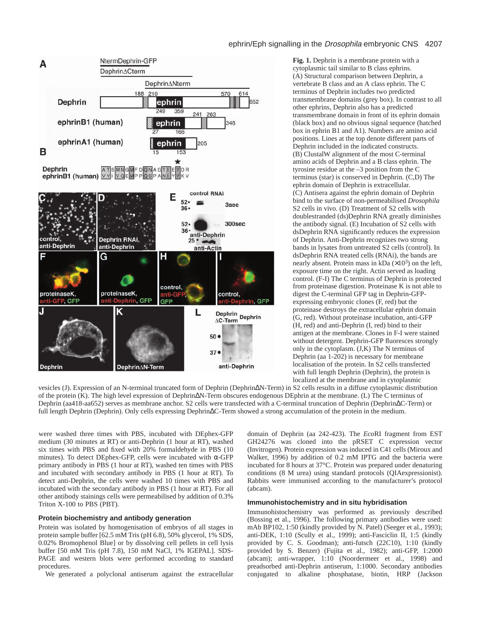



**Fig. 1.** Dephrin is a membrane protein with a cytoplasmic tail similar to B class ephrins. (A) Structural comparison between Dephrin, a vertebrate B class and an A class ephrin. The C terminus of Dephrin includes two predicted transmembrane domains (grey box). In contrast to all other ephrins, Dephrin also has a predicted transmembrane domain in front of its ephrin domain (black box) and no obvious signal sequence (hatched box in ephrin B1 and A1). Numbers are amino acid positions. Lines at the top denote different parts of Dephrin included in the indicated constructs. (B) ClustalW alignment of the most C-terminal amino acids of Dephrin and a B class ephrin. The tyrosine residue at the –3 position from the C terminus (star) is conserved in Dephrin. (C,D) The ephrin domain of Dephrin is extracellular. (C) Antisera against the ephrin domain of Dephrin bind to the surface of non-permeabilised *Drosophila* S2 cells in vivo. (D) Treatment of S2 cells with doublestranded (ds)Dephrin RNA greatly diminishes the antibody signal. (E) Incubation of S2 cells with dsDephrin RNA significantly reduces the expression of Dephrin. Anti-Dephrin recognizes two strong bands in lysates from untreated S2 cells (control). In dsDephrin RNA treated cells (RNAi), the bands are nearly absent. Protein mass in kDa  $(\times 10^3)$  on the left, exposure time on the right. Actin served as loading control. (F-I) The C terminus of Dephrin is protected from proteinase digestion. Proteinase K is not able to digest the C-terminal GFP tag in Dephrin-GFPexpressing embryonic clones (F, red) but the proteinase destroys the extracellular ephrin domain (G, red). Without proteinase incubation, anti-GFP (H, red) and anti-Dephrin (I, red) bind to their antigen at the membrane. Clones in F-I were stained without detergent. Dephrin-GFP fluoresces strongly only in the cytoplasm. (J,K) The N terminus of Dephrin (aa 1-202) is necessary for membrane localisation of the protein. In S2 cells transfected with full length Dephrin (Dephrin), the protein is localized at the membrane and in cytoplasmic

vesicles (J). Expression of an N-terminal truncated form of Dephrin (Dephrin∆N-Term) in S2 cells results in a diffuse cytoplasmic distribution of the protein (K). The high level expression of Dephrin∆N-Term obscures endogenous DEphrin at the membrane. (L) The C terminus of Dephrin (aa418-aa652) serves as membrane anchor. S2 cells were transfected with a C-terminal truncation of Dephrin (Dephrin∆C-Term) or full length Dephrin (Dephrin). Only cells expressing Dephrin∆C-Term showed a strong accumulation of the protein in the medium.

were washed three times with PBS, incubated with DEphex-GFP medium (30 minutes at RT) or anti-Dephrin (1 hour at RT), washed six times with PBS and fixed with 20% formaldehyde in PBS (10 minutes). To detect DEphex-GFP, cells were incubated with α-GFP primary antibody in PBS (1 hour at RT), washed ten times with PBS and incubated with secondary antibody in PBS (1 hour at RT). To detect anti-Dephrin, the cells were washed 10 times with PBS and incubated with the secondary antibody in PBS (1 hour at RT). For all other antibody stainings cells were permeabilised by addition of 0.3% Triton X-100 to PBS (PBT).

### **Protein biochemistry and antibody generation**

Protein was isolated by homogenisation of embryos of all stages in protein sample buffer [62.5 mM Tris (pH 6.8), 50% glycerol, 1% SDS, 0.02% Bromophenol Blue] or by dissolving cell pellets in cell lysis buffer [50 mM Tris (pH 7.8), 150 mM NaCl, 1% IGEPAL]. SDS-PAGE and western blots were performed according to standard procedures.

We generated a polyclonal antiserum against the extracellular

domain of Dephrin (aa 242-423). The *Eco*RI fragment from EST GH24276 was cloned into the pRSET C expression vector (Invitrogen). Protein expression was induced in C41 cells (Miroux and Walker, 1996) by addition of 0.2 mM IPTG and the bacteria were incubated for 8 hours at 37°C. Protein was prepared under denaturing conditions (8 M urea) using standard protocols (QIAexpressionist). Rabbits were immunised according to the manufacturer's protocol (abcam).

### **Immunohistochemistry and in situ hybridisation**

Immunohistochemistry was performed as previously described (Bossing et al., 1996). The following primary antibodies were used: mAb BP102, 1:50 (kindly provided by N. Patel) (Seeger et al., 1993); anti-DEK, 1:10 (Scully et al., 1999); anti-Fasciclin II, 1:5 (kindly provided by C. S. Goodman); anti-futsch (22C10), 1:10 (kindly provided by S. Benzer) (Fujita et al., 1982); anti-GFP, 1:2000 (abcam); anti-wrapper, 1:10 (Noordermeer et al., 1998) and preadsorbed anti-Dephrin antiserum, 1:1000. Secondary antibodies conjugated to alkaline phosphatase, biotin, HRP (Jackson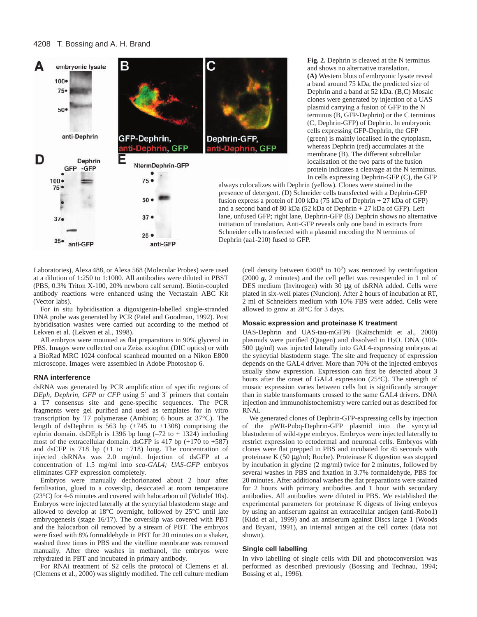

**Fig. 2.** Dephrin is cleaved at the N terminus and shows no alternative translation. **(A)** Western blots of embryonic lysate reveal a band around 75 kDa, the predicted size of Dephrin and a band at 52 kDa. (B,C) Mosaic clones were generated by injection of a UAS plasmid carrying a fusion of GFP to the N terminus (B, GFP-Dephrin) or the C terminus (C, Dephrin-GFP) of Dephrin. In embryonic cells expressing GFP-Dephrin, the GFP (green) is mainly localised in the cytoplasm, whereas Dephrin (red) accumulates at the membrane (B). The different subcellular localisation of the two parts of the fusion protein indicates a cleavage at the N terminus. In cells expressing Dephrin-GFP (C), the GFP

always colocalizes with Dephrin (yellow). Clones were stained in the presence of detergent. (D) Schneider cells transfected with a Dephrin-GFP fusion express a protein of 100 kDa (75 kDa of Dephrin + 27 kDa of GFP) and a second band of 80 kDa (52 kDa of Dephrin + 27 kDa of GFP). Left lane, unfused GFP; right lane, Dephrin-GFP (E) Dephrin shows no alternative initiation of translation. Anti-GFP reveals only one band in extracts from Schneider cells transfected with a plasmid encoding the N terminus of Dephrin (aa1-210) fused to GFP.

Laboratories), Alexa 488, or Alexa 568 (Molecular Probes) were used at a dilution of 1:250 to 1:1000. All antibodies were diluted in PBST (PBS, 0.3% Triton X-100, 20% newborn calf serum). Biotin-coupled antibody reactions were enhanced using the Vectastain ABC Kit (Vector labs).

For in situ hybridisation a digoxigenin-labelled single-stranded DNA probe was generated by PCR (Patel and Goodman, 1992). Post hybridisation washes were carried out according to the method of Lekven et al. (Lekven et al., 1998).

All embryos were mounted as flat preparations in 90% glycerol in PBS. Images were collected on a Zeiss axiophot (DIC optics) or with a BioRad MRC 1024 confocal scanhead mounted on a Nikon E800 microscope. Images were assembled in Adobe Photoshop 6.

#### **RNA interference**

dsRNA was generated by PCR amplification of specific regions of *DEph*, *Dephrin*, *GFP* or *CFP* using 5′ and 3′ primers that contain a T7 consensus site and gene-specific sequences. The PCR fragments were gel purified and used as templates for in vitro transcription by T7 polymerase (Ambion; 6 hours at 37°C). The length of dsDephrin is 563 bp  $(+745$  to  $+1308)$  comprising the ephrin domain. dsDEph is 1396 bp long  $(-72 \text{ to } + 1324)$  including most of the extracellular domain. dsGFP is 417 bp (+170 to +587) and dsCFP is  $718$  bp  $(+1$  to  $+718)$  long. The concentration of injected dsRNAs was 2.0 mg/ml. Injection of dsGFP at a concentration of 1.5 mg/ml into *sca-GAL4; UAS-GFP* embryos eliminates GFP expression completely.

Embryos were manually dechorionated about 2 hour after fertilisation, glued to a coverslip, desiccated at room temperature (23°C) for 4-6 minutes and covered with halocarbon oil (Voltalef 10s). Embryos were injected laterally at the syncytial blastoderm stage and allowed to develop at 18°C overnight, followed by 25°C until late embryogenesis (stage 16/17). The coverslip was covered with PBT and the halocarbon oil removed by a stream of PBT. The embryos were fixed with 8% formaldehyde in PBT for 20 minutes on a shaker, washed three times in PBS and the vitelline membrane was removed manually. After three washes in methanol, the embryos were rehydrated in PBT and incubated in primary antibody.

For RNAi treatment of S2 cells the protocol of Clemens et al. (Clemens et al., 2000) was slightly modified. The cell culture medium (cell density between  $6\times10^6$  to  $10^7$ ) was removed by centrifugation (2000 *g*, 2 minutes) and the cell pellet was resuspended in 1 ml of DES medium (Invitrogen) with 30 µg of dsRNA added. Cells were plated in six-well plates (Nunclon). After 2 hours of incubation at RT, 2 ml of Schneiders medium with 10% FBS were added. Cells were allowed to grow at 28°C for 3 days.

#### **Mosaic expression and proteinase K treatment**

UAS-Dephrin and UAS-tau-mGFP6 (Kaltschmidt et al., 2000) plasmids were purified (Qiagen) and dissolved in H2O. DNA (100- 500 µg/ml) was injected laterally into GAL4-expressing embryos at the syncytial blastoderm stage. The site and frequency of expression depends on the GAL4 driver. More than 70% of the injected embryos usually show expression. Expression can first be detected about 3 hours after the onset of GAL4 expression (25°C). The strength of mosaic expression varies between cells but is significantly stronger than in stable transformants crossed to the same GAL4 drivers. DNA injection and immunohistochemistry were carried out as described for RNAi.

We generated clones of Dephrin-GFP-expressing cells by injection of the pWR-Pubq-Dephrin-GFP plasmid into the syncytial blastoderm of wild-type embryos. Embryos were injected laterally to restrict expression to ectodermal and neuronal cells. Embryos with clones were flat prepped in PBS and incubated for 45 seconds with proteinase K (50 µg/ml; Roche). Proteinase K digestion was stopped by incubation in glycine (2 mg/ml) twice for 2 minutes, followed by several washes in PBS and fixation in 3.7% formaldehyde, PBS for 20 minutes. After additional washes the flat preparations were stained for 2 hours with primary antibodies and 1 hour with secondary antibodies. All antibodies were diluted in PBS. We established the experimental parameters for proteinase K digests of living embryos by using an antiserum against an extracellular antigen (anti-Robo1) (Kidd et al., 1999) and an antiserum against Discs large 1 (Woods and Bryant, 1991), an internal antigen at the cell cortex (data not shown).

#### **Single cell labelling**

In vivo labelling of single cells with DiI and photoconversion was performed as described previously (Bossing and Technau, 1994; Bossing et al., 1996).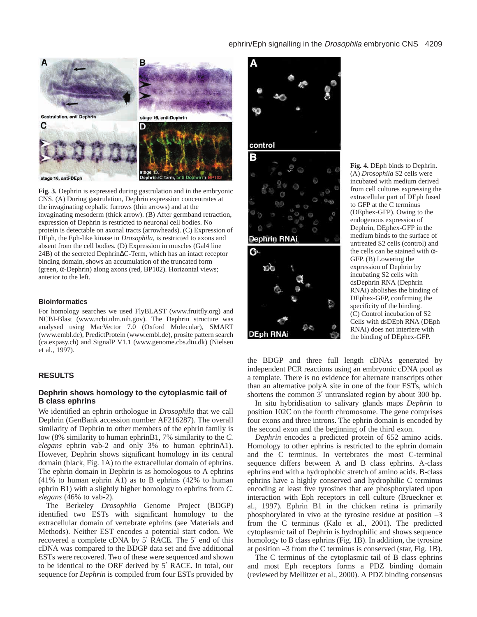# ephrin/Eph signalling in the *Drosophila* embryonic CNS 4209



stage 16, anti-DEph

**Fig. 3.** Dephrin is expressed during gastrulation and in the embryonic CNS. (A) During gastrulation, Dephrin expression concentrates at the invaginating cephalic furrows (thin arrows) and at the invaginating mesoderm (thick arrow). (B) After germband retraction, expression of Dephrin is restricted to neuronal cell bodies. No protein is detectable on axonal tracts (arrowheads). (C) Expression of DEph, the Eph-like kinase in *Drosophila*, is restricted to axons and absent from the cell bodies. (D) Expression in muscles (Gal4 line 24B) of the secreted Dephrin∆C-Term, which has an intact receptor binding domain, shows an accumulation of the truncated form (green, α-Dephrin) along axons (red, BP102). Horizontal views; anterior to the left.

#### **Bioinformatics**

For homology searches we used FlyBLAST (www.fruitfly.org) and NCBI-Blast (www.ncbi.nlm.nih.gov). The Dephrin structure was analysed using MacVector 7.0 (Oxford Molecular), SMART (www.embl.de), PredictProtein (www.embl.de), prosite pattern search (ca.expasy.ch) and SignalP V1.1 (www.genome.cbs.dtu.dk) (Nielsen et al., 1997).

### **RESULTS**

### **Dephrin shows homology to the cytoplasmic tail of B class ephrins**

We identified an ephrin orthologue in *Drosophila* that we call Dephrin (GenBank accession number AF216287). The overall similarity of Dephrin to other members of the ephrin family is low (8% similarity to human ephrinB1, 7% similarity to the *C. elegans* ephrin vab-2 and only 3% to human ephrinA1). However, Dephrin shows significant homology in its central domain (black, Fig. 1A) to the extracellular domain of ephrins. The ephrin domain in Dephrin is as homologous to A ephrins (41% to human ephrin A1) as to B ephrins (42% to human ephrin B1) with a slightly higher homology to ephrins from *C. elegans* (46% to vab-2).

The Berkeley *Drosophila* Genome Project (BDGP) identified two ESTs with significant homology to the extracellular domain of vertebrate ephrins (see Materials and Methods). Neither EST encodes a potential start codon. We recovered a complete cDNA by 5′ RACE. The 5′ end of this cDNA was compared to the BDGP data set and five additional ESTs were recovered. Two of these were sequenced and shown to be identical to the ORF derived by 5′ RACE. In total, our sequence for *Dephrin* is compiled from four ESTs provided by





ව ද

**DEph RNAi** 

**Fig. 4.** DEph binds to Dephrin. (A) *Drosophila* S2 cells were incubated with medium derived from cell cultures expressing the extracellular part of DEph fused to GFP at the C terminus (DEphex-GFP). Owing to the endogenous expression of Dephrin, DEphex-GFP in the medium binds to the surface of untreated S2 cells (control) and the cells can be stained with  $\alpha$ -GFP. (B) Lowering the expression of Dephrin by incubating S2 cells with dsDephrin RNA (Dephrin RNAi) abolishes the binding of DEphex-GFP, confirming the specificity of the binding. (C) Control incubation of S2 Cells with dsDEph RNA (DEph RNAi) does not interfere with the binding of DEphex-GFP.

the BDGP and three full length cDNAs generated by independent PCR reactions using an embryonic cDNA pool as a template. There is no evidence for alternate transcripts other than an alternative polyA site in one of the four ESTs, which shortens the common 3' untranslated region by about 300 bp.

In situ hybridisation to salivary glands maps *Dephrin* to position 102C on the fourth chromosome. The gene comprises four exons and three introns. The ephrin domain is encoded by the second exon and the beginning of the third exon.

*Dephrin* encodes a predicted protein of 652 amino acids. Homology to other ephrins is restricted to the ephrin domain and the C terminus. In vertebrates the most C-terminal sequence differs between A and B class ephrins. A-class ephrins end with a hydrophobic stretch of amino acids. B-class ephrins have a highly conserved and hydrophilic C terminus encoding at least five tyrosines that are phosphorylated upon interaction with Eph receptors in cell culture (Brueckner et al., 1997). Ephrin B1 in the chicken retina is primarily phosphorylated in vivo at the tyrosine residue at position –3 from the C terminus (Kalo et al., 2001). The predicted cytoplasmic tail of Dephrin is hydrophilic and shows sequence homology to B class ephrins (Fig. 1B). In addition, the tyrosine at position –3 from the C terminus is conserved (star, Fig. 1B).

The C terminus of the cytoplasmic tail of B class ephrins and most Eph receptors forms a PDZ binding domain (reviewed by Mellitzer et al., 2000). A PDZ binding consensus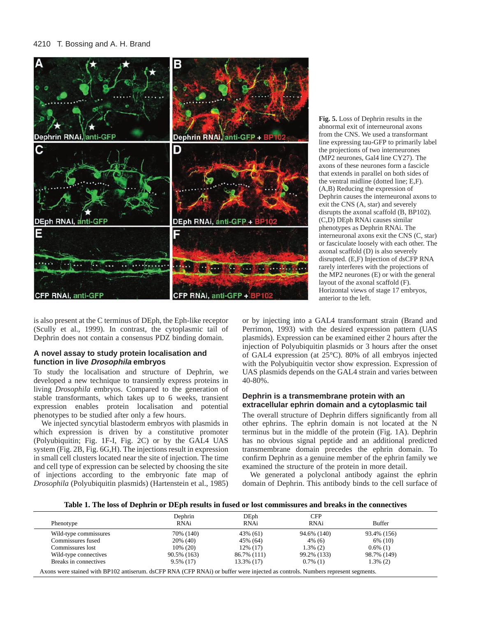

**Fig. 5.** Loss of Dephrin results in the abnormal exit of interneuronal axons from the CNS. We used a transformant line expressing tau-GFP to primarily label the projections of two interneurones (MP2 neurones, Gal4 line CY27). The axons of these neurones form a fascicle that extends in parallel on both sides of the ventral midline (dotted line; E,F). (A,B) Reducing the expression of Dephrin causes the interneuronal axons to exit the CNS (A, star) and severely disrupts the axonal scaffold (B, BP102). (C,D) DEph RNAi causes similar phenotypes as Dephrin RNAi. The interneuronal axons exit the CNS (C, star) or fasciculate loosely with each other. The axonal scaffold (D) is also severely disrupted. (E,F) Injection of dsCFP RNA rarely interferes with the projections of the MP2 neurones (E) or with the general layout of the axonal scaffold (F). Horizontal views of stage 17 embryos, anterior to the left.

is also present at the C terminus of DEph, the Eph-like receptor (Scully et al., 1999). In contrast, the cytoplasmic tail of Dephrin does not contain a consensus PDZ binding domain.

# **A novel assay to study protein localisation and function in live Drosophila embryos**

To study the localisation and structure of Dephrin, we developed a new technique to transiently express proteins in living *Drosophila* embryos. Compared to the generation of stable transformants, which takes up to 6 weeks, transient expression enables protein localisation and potential phenotypes to be studied after only a few hours.

We injected syncytial blastoderm embryos with plasmids in which expression is driven by a constitutive promoter (Polyubiquitin; Fig. 1F-I, Fig. 2C) or by the GAL4 UAS system (Fig. 2B, Fig. 6G,H). The injections result in expression in small cell clusters located near the site of injection. The time and cell type of expression can be selected by choosing the site of injections according to the embryonic fate map of *Drosophila* (Polyubiquitin plasmids) (Hartenstein et al., 1985)

or by injecting into a GAL4 transformant strain (Brand and Perrimon, 1993) with the desired expression pattern (UAS plasmids). Expression can be examined either 2 hours after the injection of Polyubiquitin plasmids or 3 hours after the onset of GAL4 expression (at 25°C). 80% of all embryos injected with the Polyubiquitin vector show expression. Expression of UAS plasmids depends on the GAL4 strain and varies between 40-80%.

# **Dephrin is a transmembrane protein with an extracellular ephrin domain and a cytoplasmic tail**

The overall structure of Dephrin differs significantly from all other ephrins. The ephrin domain is not located at the N terminus but in the middle of the protein (Fig. 1A). Dephrin has no obvious signal peptide and an additional predicted transmembrane domain precedes the ephrin domain. To confirm Dephrin as a genuine member of the ephrin family we examined the structure of the protein in more detail.

We generated a polyclonal antibody against the ephrin domain of Dephrin. This antibody binds to the cell surface of

**Table 1. The loss of Dephrin or DEph results in fused or lost commissures and breaks in the connectives**

| Phenotype             | Dephrin<br>RNAi | DEph<br>RNAi | CFP<br>RNAi | <b>Buffer</b> |
|-----------------------|-----------------|--------------|-------------|---------------|
| Wild-type commissures | 70% (140)       | 43% (61)     | 94.6% (140) | 93.4% (156)   |
| Commissures fused     | 20% (40)        | 45% (64)     | 4% (6)      | 6% (10)       |
| Commissures lost      | $10\%$ (20)     | 12% (17)     | $1.3\%$ (2) | $0.6\%$ (1)   |
| Wild-type connectives | 90.5% (163)     | 86.7% (111)  | 99.2% (133) | 98.7% (149)   |
| Breaks in connectives | $9.5\%$ (17)    | 13.3% (17)   | $0.7\%$ (1) | $1.3\%$ (2)   |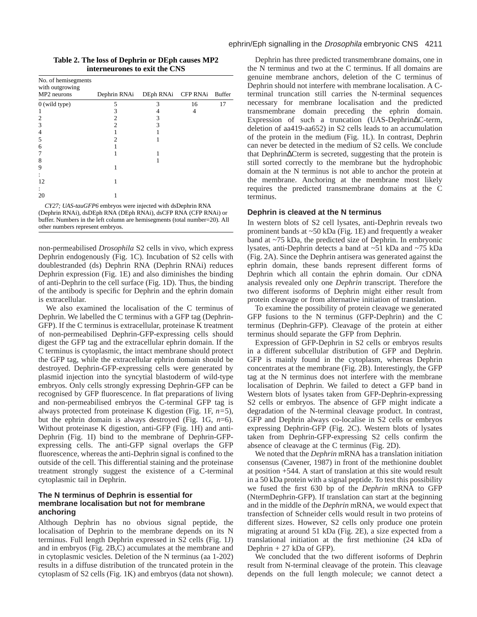| No. of hemisegments<br>with outgrowing |              |                    |    |               |
|----------------------------------------|--------------|--------------------|----|---------------|
| MP2 neurons                            | Dephrin RNAi | DEph RNAi CFP RNAi |    | <b>Buffer</b> |
| 0 (wild type)                          | 5            | 3                  | 16 | 17            |
|                                        |              |                    | 4  |               |
| $\overline{2}$                         |              |                    |    |               |
| 3                                      |              | 3                  |    |               |
| 4                                      |              |                    |    |               |
| 5                                      |              |                    |    |               |
| 6                                      |              |                    |    |               |
| 7                                      |              |                    |    |               |
| 8                                      |              |                    |    |               |
| 9                                      |              |                    |    |               |
|                                        |              |                    |    |               |
| 12                                     |              |                    |    |               |
| ٠                                      |              |                    |    |               |
| 20                                     |              |                    |    |               |

**Table 2. The loss of Dephrin or DEph causes MP2 interneurones to exit the CNS** 

*CY27; UAS-tauGFP6* embryos were injected with dsDephrin RNA (Dephrin RNAi), dsDEph RNA (DEph RNAi), dsCFP RNA (CFP RNAi) or buffer. Numbers in the left column are hemisegments (total number=20). All other numbers represent embryos.

non-permeabilised *Drosophila* S2 cells in vivo, which express Dephrin endogenously (Fig. 1C). Incubation of S2 cells with doublestranded (ds) Dephrin RNA (Dephrin RNAi) reduces Dephrin expression (Fig. 1E) and also diminishes the binding of anti-Dephrin to the cell surface (Fig. 1D). Thus, the binding of the antibody is specific for Dephrin and the ephrin domain is extracellular.

We also examined the localisation of the C terminus of Dephrin. We labelled the C terminus with a GFP tag (Dephrin-GFP). If the C terminus is extracellular, proteinase K treatment of non-permeabilised Dephrin-GFP-expressing cells should digest the GFP tag and the extracellular ephrin domain. If the C terminus is cytoplasmic, the intact membrane should protect the GFP tag, while the extracellular ephrin domain should be destroyed. Dephrin-GFP-expressing cells were generated by plasmid injection into the syncytial blastoderm of wild-type embryos. Only cells strongly expressing Dephrin-GFP can be recognised by GFP fluorescence. In flat preparations of living and non-permeabilised embryos the C-terminal GFP tag is always protected from proteinase K digestion (Fig. 1F, *n=*5), but the ephrin domain is always destroyed (Fig. 1G, *n*=6). Without proteinase K digestion, anti-GFP (Fig. 1H) and anti-Dephrin (Fig. 1I) bind to the membrane of Dephrin-GFPexpressing cells. The anti-GFP signal overlaps the GFP fluorescence, whereas the anti-Dephrin signal is confined to the outside of the cell. This differential staining and the proteinase treatment strongly suggest the existence of a C-terminal cytoplasmic tail in Dephrin.

# **The N terminus of Dephrin is essential for membrane localisation but not for membrane anchoring**

Although Dephrin has no obvious signal peptide, the localisation of Dephrin to the membrane depends on its N terminus. Full length Dephrin expressed in S2 cells (Fig. 1J) and in embryos (Fig. 2B,C) accumulates at the membrane and in cytoplasmic vesicles. Deletion of the N terminus (aa 1-202) results in a diffuse distribution of the truncated protein in the cytoplasm of S2 cells (Fig. 1K) and embryos (data not shown).

Dephrin has three predicted transmembrane domains, one in the N terminus and two at the C terminus. If all domains are genuine membrane anchors, deletion of the C terminus of Dephrin should not interfere with membrane localisation. A Cterminal truncation still carries the N-terminal sequences necessary for membrane localisation and the predicted transmembrane domain preceding the ephrin domain. Expression of such a truncation (UAS-Dephrin∆C-term, deletion of aa419-aa652) in S2 cells leads to an accumulation of the protein in the medium (Fig. 1L). In contrast, Dephrin can never be detected in the medium of S2 cells. We conclude that Dephrin∆Cterm is secreted, suggesting that the protein is still sorted correctly to the membrane but the hydrophobic domain at the N terminus is not able to anchor the protein at the membrane. Anchoring at the membrane most likely requires the predicted transmembrane domains at the C terminus.

# **Dephrin is cleaved at the N terminus**

In western blots of S2 cell lysates, anti-Dephrin reveals two prominent bands at ~50 kDa (Fig. 1E) and frequently a weaker band at ~75 kDa, the predicted size of Dephrin. In embryonic lysates, anti-Dephrin detects a band at ~51 kDa and ~75 kDa (Fig. 2A). Since the Dephrin antisera was generated against the ephrin domain, these bands represent different forms of Dephrin which all contain the ephrin domain. Our cDNA analysis revealed only one *Dephrin* transcript. Therefore the two different isoforms of Dephrin might either result from protein cleavage or from alternative initiation of translation.

To examine the possibility of protein cleavage we generated GFP fusions to the N terminus (GFP-Dephrin) and the C terminus (Dephrin-GFP). Cleavage of the protein at either terminus should separate the GFP from Dephrin.

Expression of GFP-Dephrin in S2 cells or embryos results in a different subcellular distribution of GFP and Dephrin. GFP is mainly found in the cytoplasm, whereas Dephrin concentrates at the membrane (Fig. 2B). Interestingly, the GFP tag at the N terminus does not interfere with the membrane localisation of Dephrin. We failed to detect a GFP band in Western blots of lysates taken from GFP-Dephrin-expressing S2 cells or embryos. The absence of GFP might indicate a degradation of the N-terminal cleavage product. In contrast, GFP and Dephrin always co-localise in S2 cells or embryos expressing Dephrin-GFP (Fig. 2C). Western blots of lysates taken from Dephrin-GFP-expressing S2 cells confirm the absence of cleavage at the C terminus (Fig. 2D).

We noted that the *Dephrin* mRNA has a translation initiation consensus (Cavener, 1987) in front of the methionine doublet at position +544. A start of translation at this site would result in a 50 kDa protein with a signal peptide. To test this possibility we fused the first 630 bp of the *Dephrin* mRNA to GFP (NtermDephrin-GFP). If translation can start at the beginning and in the middle of the *Dephrin* mRNA, we would expect that transfection of Schneider cells would result in two proteins of different sizes. However, S2 cells only produce one protein migrating at around 51 kDa (Fig. 2E), a size expected from a translational initiation at the first methionine (24 kDa of Dephrin + 27 kDa of GFP).

We concluded that the two different isoforms of Dephrin result from N-terminal cleavage of the protein. This cleavage depends on the full length molecule; we cannot detect a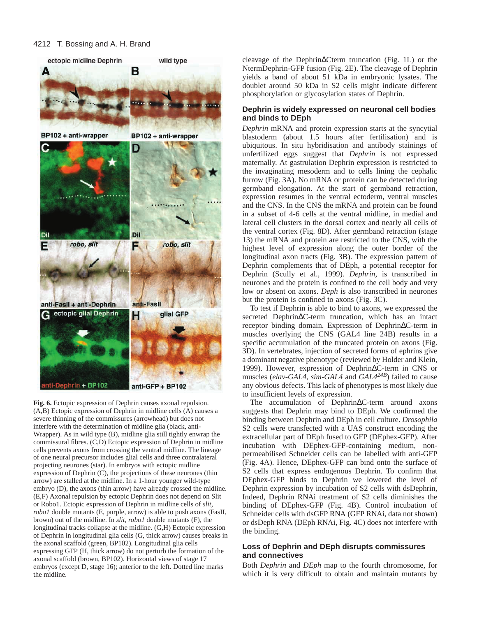

**Fig. 6.** Ectopic expression of Dephrin causes axonal repulsion. (A,B) Ectopic expression of Dephrin in midline cells (A) causes a severe thinning of the commissures (arrowhead) but does not interfere with the determination of midline glia (black, anti-Wrapper). As in wild type (B), midline glia still tightly enwrap the commissural fibres. (C,D) Ectopic expression of Dephrin in midline cells prevents axons from crossing the ventral midline. The lineage of one neural precursor includes glial cells and three contralateral projecting neurones (star). In embryos with ectopic midline expression of Dephrin (C), the projections of these neurones (thin arrow) are stalled at the midline. In a 1-hour younger wild-type embryo (D), the axons (thin arrow) have already crossed the midline. (E,F) Axonal repulsion by ectopic Dephrin does not depend on Slit or Robo1. Ectopic expression of Dephrin in midline cells of *slit, robo1* double mutants (E, purple, arrow) is able to push axons (FasII, brown) out of the midline. In *slit, robo1* double mutants (F), the longitudinal tracks collapse at the midline. (G,H) Ectopic expression of Dephrin in longitudinal glia cells (G, thick arrow) causes breaks in the axonal scaffold (green, BP102). Longitudinal glia cells expressing GFP (H, thick arrow) do not perturb the formation of the axonal scaffold (brown, BP102). Horizontal views of stage 17 embryos (except D, stage 16); anterior to the left. Dotted line marks the midline.

cleavage of the Dephrin∆Cterm truncation (Fig. 1L) or the NtermDephrin-GFP fusion (Fig. 2E). The cleavage of Dephrin yields a band of about 51 kDa in embryonic lysates. The doublet around 50 kDa in S2 cells might indicate different phosphorylation or glycosylation states of Dephrin.

# **Dephrin is widely expressed on neuronal cell bodies and binds to DEph**

*Dephrin* mRNA and protein expression starts at the syncytial blastoderm (about 1.5 hours after fertilisation) and is ubiquitous. In situ hybridisation and antibody stainings of unfertilized eggs suggest that *Dephrin* is not expressed maternally. At gastrulation Dephrin expression is restricted to the invaginating mesoderm and to cells lining the cephalic furrow (Fig. 3A). No mRNA or protein can be detected during germband elongation. At the start of germband retraction, expression resumes in the ventral ectoderm, ventral muscles and the CNS. In the CNS the mRNA and protein can be found in a subset of 4-6 cells at the ventral midline, in medial and lateral cell clusters in the dorsal cortex and nearly all cells of the ventral cortex (Fig. 8D). After germband retraction (stage 13) the mRNA and protein are restricted to the CNS, with the highest level of expression along the outer border of the longitudinal axon tracts (Fig. 3B). The expression pattern of Dephrin complements that of DEph, a potential receptor for Dephrin (Scully et al., 1999). *Dephrin*, is transcribed in neurones and the protein is confined to the cell body and very low or absent on axons. *Deph* is also transcribed in neurones but the protein is confined to axons (Fig. 3C).

To test if Dephrin is able to bind to axons, we expressed the secreted Dephrin∆C-term truncation, which has an intact receptor binding domain. Expression of Dephrin∆C-term in muscles overlying the CNS (GAL4 line 24B) results in a specific accumulation of the truncated protein on axons (Fig. 3D). In vertebrates, injection of secreted forms of ephrins give a dominant negative phenotype (reviewed by Holder and Klein, 1999). However, expression of Dephrin∆C-term in CNS or muscles (*elav-GAL4*, *sim-GAL4* and *GAL424B*) failed to cause any obvious defects. This lack of phenotypes is most likely due to insufficient levels of expression.

The accumulation of Dephrin∆C-term around axons suggests that Dephrin may bind to DEph. We confirmed the binding between Dephrin and DEph in cell culture. *Drosophila* S2 cells were transfected with a UAS construct encoding the extracellular part of DEph fused to GFP (DEphex-GFP). After incubation with DEphex-GFP-containing medium, nonpermeabilised Schneider cells can be labelled with anti-GFP (Fig. 4A). Hence, DEphex-GFP can bind onto the surface of S2 cells that express endogenous Dephrin. To confirm that DEphex-GFP binds to Dephrin we lowered the level of Dephrin expression by incubation of S2 cells with dsDephrin, Indeed, Dephrin RNAi treatment of S2 cells diminishes the binding of DEphex-GFP (Fig. 4B). Control incubation of Schneider cells with dsGFP RNA (GFP RNAi, data not shown) or dsDeph RNA (DEph RNAi, Fig. 4C) does not interfere with the binding.

# **Loss of Dephrin and DEph disrupts commissures and connectives**

Both *Dephrin* and *DEph* map to the fourth chromosome, for which it is very difficult to obtain and maintain mutants by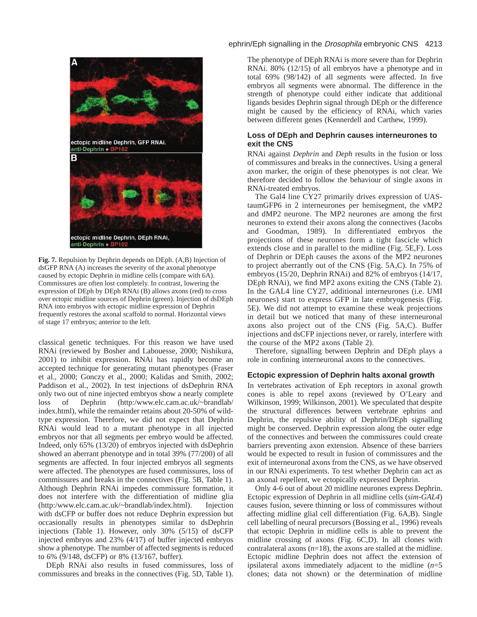

**Fig. 7.** Repulsion by Dephrin depends on DEph. (A,B) Injection of dsGFP RNA (A) increases the severity of the axonal phenotype caused by ectopic Dephrin in midline cells (compare with 6A). Commissures are often lost completely. In contrast, lowering the expression of DEph by DEph RNAi (B) allows axons (red) to cross over ectopic midline sources of Dephrin (green). Injection of dsDEph RNA into embryos with ectopic midline expression of Dephrin frequently restores the axonal scaffold to normal. Horizontal views of stage 17 embryos; anterior to the left.

classical genetic techniques. For this reason we have used RNAi (reviewed by Bosher and Labouesse, 2000; Nishikura, 2001) to inhibit expression. RNAi has rapidly become an accepted technique for generating mutant phenotypes (Fraser et al., 2000; Gonczy et al., 2000; Kalidas and Smith, 2002; Paddison et al., 2002). In test injections of dsDephrin RNA only two out of nine injected embryos show a nearly complete loss of Dephrin (http:/www.elc.cam.ac.uk/~brandlab/ index.html), while the remainder retains about 20-50% of wildtype expression. Therefore, we did not expect that Dephrin RNAi would lead to a mutant phenotype in all injected embryos nor that all segments per embryo would be affected. Indeed, only 65% (13/20) of embryos injected with dsDephrin showed an aberrant phenotype and in total 39% (77/200) of all segments are affected. In four injected embryos all segments were affected. The phenotypes are fused commissures, loss of commissures and breaks in the connectives (Fig. 5B, Table 1). Although Dephrin RNAi impedes commissure formation, it does not interfere with the differentiation of midline glia (http:/www.elc.cam.ac.uk/~brandlab/index.html). Injection with dsCFP or buffer does not reduce Dephrin expression but occasionally results in phenotypes similar to dsDephrin injections (Table 1). However, only 30% (5/15) of dsCFP injected embryos and 23% (4/17) of buffer injected embryos show a phenotype. The number of affected segments is reduced to 6% (9/148, dsCFP) or 8% (13/167, buffer).

DEph RNAi also results in fused commissures, loss of commissures and breaks in the connectives (Fig. 5D, Table 1).

# ephrin/Eph signalling in the *Drosophila* embryonic CNS 4213

The phenotype of DEph RNAi is more severe than for Dephrin RNAi. 80% (12/15) of all embryos have a phenotype and in total 69% (98/142) of all segments were affected. In five embryos all segments were abnormal. The difference in the strength of phenotype could either indicate that additional ligands besides Dephrin signal through DEph or the difference might be caused by the efficiency of RNAi, which varies between different genes (Kennerdell and Carthew, 1999).

# **Loss of DEph and Dephrin causes interneurones to exit the CNS**

RNAi against *Dephrin* and *Deph* results in the fusion or loss of commissures and breaks in the connectives. Using a general axon marker, the origin of these phenotypes is not clear. We therefore decided to follow the behaviour of single axons in RNAi-treated embryos.

The Gal4 line CY27 primarily drives expression of UAStaumGFP6 in 2 interneurones per hemisegment, the vMP2 and dMP2 neurone. The MP2 neurones are among the first neurones to extend their axons along the connectives (Jacobs and Goodman, 1989). In differentiated embryos the projections of these neurones form a tight fascicle which extends close and in parallel to the midline (Fig. 5E,F). Loss of Dephrin or DEph causes the axons of the MP2 neurones to project aberrantly out of the CNS (Fig. 5A,C). In 75% of embryos (15/20, Dephrin RNAi) and 82% of embryos (14/17, DEph RNAi), we find MP2 axons exiting the CNS (Table 2). In the GAL4 line CY27, additional interneurones (i.e. UMI neurones) start to express GFP in late embryogenesis (Fig. 5E). We did not attempt to examine these weak projections in detail but we noticed that many of these interneuronal axons also project out of the CNS (Fig. 5A,C). Buffer injections and dsCFP injections never, or rarely, interfere with the course of the MP2 axons (Table 2).

Therefore, signalling between Dephrin and DEph plays a role in confining interneuronal axons to the connectives.

# **Ectopic expression of Dephrin halts axonal growth**

In vertebrates activation of Eph receptors in axonal growth cones is able to repel axons (reviewed by O'Leary and Wilkinson, 1999; Wilkinson, 2001). We speculated that despite the structural differences between vertebrate ephrins and Dephrin, the repulsive ability of Dephrin/DEph signalling might be conserved. Dephrin expression along the outer edge of the connectives and between the commissures could create barriers preventing axon extension. Absence of these barriers would be expected to result in fusion of commissures and the exit of interneuronal axons from the CNS, as we have observed in our RNAi experiments. To test whether Dephrin can act as an axonal repellent, we ectopically expressed Dephrin.

Only 4-6 out of about 20 midline neurones express Dephrin. Ectopic expression of Dephrin in all midline cells (*sim*-*GAL4*) causes fusion, severe thinning or loss of commissures without affecting midline glial cell differentiation (Fig. 6A,B). Single cell labelling of neural precursors (Bossing et al., 1996) reveals that ectopic Dephrin in midline cells is able to prevent the midline crossing of axons (Fig. 6C,D). In all clones with contralateral axons  $(n=18)$ , the axons are stalled at the midline. Ectopic midline Dephrin does not affect the extension of ipsilateral axons immediately adjacent to the midline (*n*=5 clones; data not shown) or the determination of midline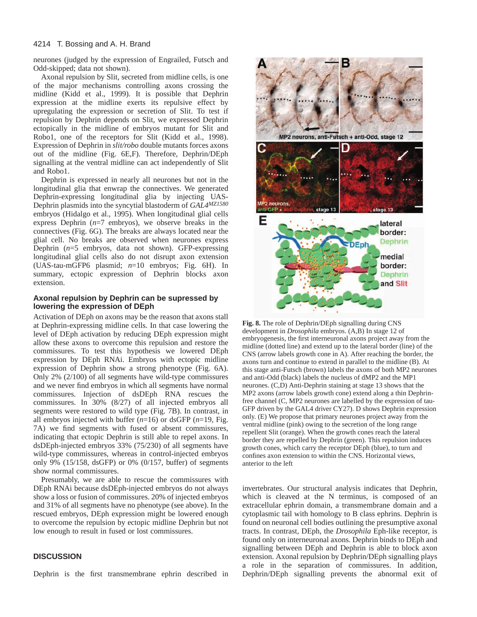neurones (judged by the expression of Engrailed, Futsch and Odd-skipped; data not shown).

Axonal repulsion by Slit, secreted from midline cells, is one of the major mechanisms controlling axons crossing the midline (Kidd et al., 1999). It is possible that Dephrin expression at the midline exerts its repulsive effect by upregulating the expression or secretion of Slit. To test if repulsion by Dephrin depends on Slit, we expressed Dephrin ectopically in the midline of embryos mutant for Slit and Robo1, one of the receptors for Slit (Kidd et al., 1998). Expression of Dephrin in *slit/robo* double mutants forces axons out of the midline (Fig. 6E,F). Therefore, Dephrin/DEph signalling at the ventral midline can act independently of Slit and Robo1.

Dephrin is expressed in nearly all neurones but not in the longitudinal glia that enwrap the connectives. We generated Dephrin-expressing longitudinal glia by injecting UAS-Dephrin plasmids into the syncytial blastoderm of *GAL4MZ1580* embryos (Hidalgo et al., 1995). When longitudinal glial cells express Dephrin  $(n=7 \text{ embryos})$ , we observe breaks in the connectives (Fig. 6G). The breaks are always located near the glial cell. No breaks are observed when neurones express Dephrin (*n*=5 embryos, data not shown). GFP-expressing longitudinal glial cells also do not disrupt axon extension (UAS-tau-mGFP6 plasmid; *n*=10 embryos; Fig. 6H). In summary, ectopic expression of Dephrin blocks axon extension.

### **Axonal repulsion by Dephrin can be supressed by lowering the expression of DEph**

Activation of DEph on axons may be the reason that axons stall at Dephrin-expressing midline cells. In that case lowering the level of DEph activation by reducing DEph expression might allow these axons to overcome this repulsion and restore the commissures. To test this hypothesis we lowered DEph expression by DEph RNAi. Embryos with ectopic midline expression of Dephrin show a strong phenotype (Fig. 6A). Only 2% (2/100) of all segments have wild-type commissures and we never find embryos in which all segments have normal commissures. Injection of dsDEph RNA rescues the commissures. In 30% (8/27) of all injected embryos all segments were restored to wild type (Fig. 7B). In contrast, in all embryos injected with buffer (*n*=16) or dsGFP (*n*=19, Fig. 7A) we find segments with fused or absent commissures, indicating that ectopic Dephrin is still able to repel axons. In dsDEph-injected embryos 33% (75/230) of all segments have wild-type commissures, whereas in control-injected embryos only 9% (15/158, dsGFP) or 0% (0/157, buffer) of segments show normal commissures.

Presumably, we are able to rescue the commissures with DEph RNAi because dsDEph-injected embryos do not always show a loss or fusion of commissures. 20% of injected embryos and 31% of all segments have no phenotype (see above). In the rescued embryos, DEph expression might be lowered enough to overcome the repulsion by ectopic midline Dephrin but not low enough to result in fused or lost commissures.

# **DISCUSSION**

Dephrin is the first transmembrane ephrin described in



**Fig. 8.** The role of Dephrin/DEph signalling during CNS development in *Drosophila* embryos. (A,B) In stage 12 of embryogenesis, the first interneuronal axons project away from the midline (dotted line) and extend up to the lateral border (line) of the CNS (arrow labels growth cone in A). After reaching the border, the axons turn and continue to extend in parallel to the midline (B). At this stage anti-Futsch (brown) labels the axons of both MP2 neurones and anti-Odd (black) labels the nucleus of dMP2 and the MP1 neurones. (C,D) Anti-Dephrin staining at stage 13 shows that the MP2 axons (arrow labels growth cone) extend along a thin Dephrinfree channel (C, MP2 neurones are labelled by the expression of tau-GFP driven by the GAL4 driver CY27). D shows Dephrin expression only. (E) We propose that primary neurones project away from the ventral midline (pink) owing to the secretion of the long range repellent Slit (orange). When the growth cones reach the lateral border they are repelled by Dephrin (green). This repulsion induces growth cones, which carry the receptor DEph (blue), to turn and confines axon extension to within the CNS. Horizontal views, anterior to the left

invertebrates. Our structural analysis indicates that Dephrin, which is cleaved at the N terminus, is composed of an extracellular ephrin domain, a transmembrane domain and a cytoplasmic tail with homology to B class ephrins. Dephrin is found on neuronal cell bodies outlining the presumptive axonal tracts. In contrast, DEph, the *Drosophila* Eph-like receptor, is found only on interneuronal axons. Dephrin binds to DEph and signalling between DEph and Dephrin is able to block axon extension. Axonal repulsion by Dephrin/DEph signalling plays a role in the separation of commissures. In addition, Dephrin/DEph signalling prevents the abnormal exit of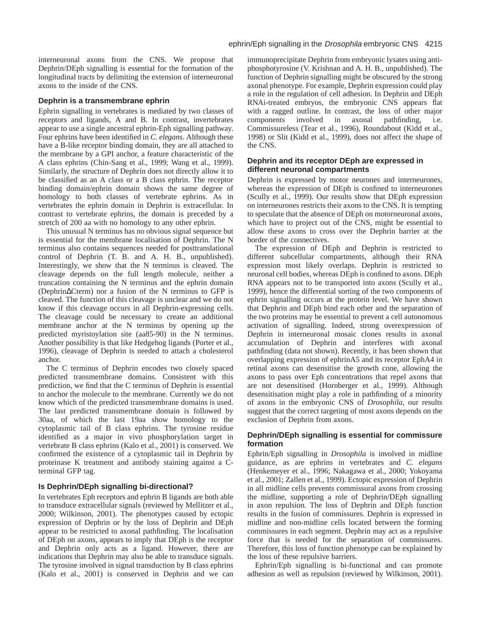interneuronal axons from the CNS. We propose that Dephrin/DEph signalling is essential for the formation of the longitudinal tracts by delimiting the extension of interneuronal axons to the inside of the CNS.

# **Dephrin is a transmembrane ephrin**

Ephrin signalling in vertebrates is mediated by two classes of receptors and ligands, A and B. In contrast, invertebrates appear to use a single ancestral ephrin-Eph signalling pathway. Four ephrins have been identified in *C. elegans*. Although these have a B-like receptor binding domain, they are all attached to the membrane by a GPI anchor, a feature characteristic of the A class ephrins (Chin-Sang et al., 1999; Wang et al., 1999). Similarly, the structure of Dephrin does not directly allow it to be classified as an A class or a B class ephrin. The receptor binding domain/ephrin domain shows the same degree of homology to both classes of vertebrate ephrins. As in vertebrates the ephrin domain in Dephrin is extracellular. In contrast to vertebrate ephrins, the domain is preceded by a stretch of 200 aa with no homology to any other ephrin.

This unusual N terminus has no obvious signal sequence but is essential for the membrane localisation of Dephrin. The N terminus also contains sequences needed for posttranslational control of Dephrin (T. B. and A. H. B., unpublished). Interestingly, we show that the N terminus is cleaved. The cleavage depends on the full length molecule, neither a truncation containing the N terminus and the ephrin domain (Dephrin∆Cterm) nor a fusion of the N terminus to GFP is cleaved. The function of this cleavage is unclear and we do not know if this cleavage occurs in all Dephrin-expressing cells. The cleavage could be necessary to create an additional membrane anchor at the N terminus by opening up the predicted myristoylation site (aa85-90) in the N terminus. Another possibility is that like Hedgehog ligands (Porter et al., 1996), cleavage of Dephrin is needed to attach a cholesterol anchor.

The C terminus of Dephrin encodes two closely spaced predicted transmembrane domains. Consistent with this prediction, we find that the C terminus of Dephrin is essential to anchor the molecule to the membrane. Currently we do not know which of the predicted transmembrane domains is used. The last predicted transmembrane domain is followed by 30aa, of which the last 19aa show homology to the cytoplasmic tail of B class ephrins. The tyrosine residue identified as a major in vivo phosphorylation target in vertebrate B class ephrins (Kalo et al., 2001) is conserved. We confirmed the existence of a cytoplasmic tail in Dephrin by proteinase K treatment and antibody staining against a Cterminal GFP tag.

# **Is Dephrin/DEph signalling bi-directional?**

In vertebrates Eph receptors and ephrin B ligands are both able to transduce extracellular signals (reviewed by Mellitzer et al., 2000; Wilkinson, 2001). The phenotypes caused by ectopic expression of Dephrin or by the loss of Dephrin and DEph appear to be restricted to axonal pathfinding. The localisation of DEph on axons, appears to imply that DEph is the receptor and Dephrin only acts as a ligand. However, there are indications that Dephrin may also be able to transduce signals. The tyrosine involved in signal transduction by B class ephrins (Kalo et al., 2001) is conserved in Dephrin and we can immunoprecipitate Dephrin from embryonic lysates using antiphosphotyrosine (V. Krishnan and A. H. B., unpublished). The function of Dephrin signalling might be obscured by the strong axonal phenotype. For example, Dephrin expression could play a role in the regulation of cell adhesion. In Dephrin and DEph RNAi-treated embryos, the embryonic CNS appears flat with a ragged outline. In contrast, the loss of other major components involved in axonal pathfinding, i.e. Commissureless (Tear et al., 1996), Roundabout (Kidd et al., 1998) or Slit (Kidd et al., 1999), does not affect the shape of the CNS.

# **Dephrin and its receptor DEph are expressed in different neuronal compartments**

Dephrin is expressed by motor neurones and interneurones, whereas the expression of DEph is confined to interneurones (Scully et al., 1999). Our results show that DEph expression on interneurones restricts their axons to the CNS. It is tempting to speculate that the absence of DEph on motorneuronal axons, which have to project out of the CNS, might be essential to allow these axons to cross over the Dephrin barrier at the border of the connectives.

The expression of DEph and Dephrin is restricted to different subcellular compartments, although their RNA expression most likely overlaps. Dephrin is restricted to neuronal cell bodies, whereas DEph is confined to axons. DEph RNA appears not to be transported into axons (Scully et al., 1999), hence the differential sorting of the two components of ephrin signalling occurs at the protein level. We have shown that Dephrin and DEph bind each other and the separation of the two proteins may be essential to prevent a cell autonomous activation of signalling. Indeed, strong overexpression of Dephrin in interneuronal mosaic clones results in axonal accumulation of Dephrin and interferes with axonal pathfinding (data not shown). Recently, it has been shown that overlapping expression of ephrinA5 and its receptor EphA4 in retinal axons can desensitise the growth cone, allowing the axons to pass over Eph concentrations that repel axons that are not desensitised (Hornberger et al., 1999). Although desensitisation might play a role in pathfinding of a minority of axons in the embryonic CNS of *Drosophila*, our results suggest that the correct targeting of most axons depends on the exclusion of Dephrin from axons.

# **Dephrin/DEph signalling is essential for commissure formation**

Ephrin/Eph signalling in *Drosophila* is involved in midline guidance, as are ephrins in vertebrates and *C. elegans* (Henkemeyer et al., 1996; Nakagawa et al., 2000; Yokoyama et al., 2001; Zallen et al., 1999). Ectopic expression of Dephrin in all midline cells prevents commissural axons from crossing the midline, supporting a role of Dephrin/DEph signalling in axon repulsion. The loss of Dephrin and DEph function results in the fusion of commissures. Dephrin is expressed in midline and non-midline cells located between the forming commissures in each segment. Dephrin may act as a repulsive force that is needed for the separation of commissures. Therefore, this loss of function phenotype can be explained by the loss of these repulsive barriers.

Ephrin/Eph signalling is bi-functional and can promote adhesion as well as repulsion (reviewed by Wilkinson, 2001).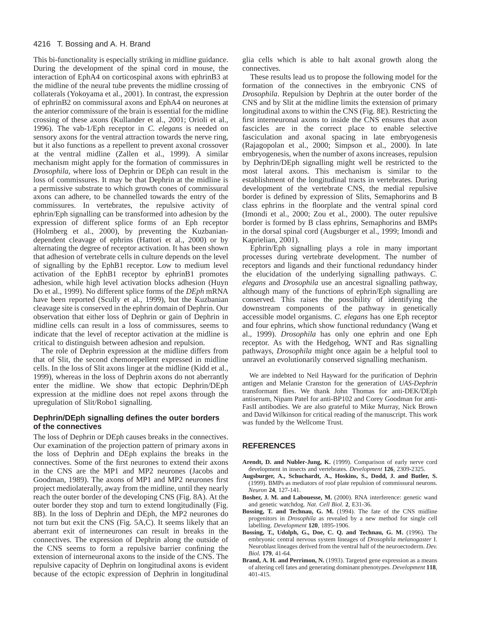This bi-functionality is especially striking in midline guidance. During the development of the spinal cord in mouse, the interaction of EphA4 on corticospinal axons with ephrinB3 at the midline of the neural tube prevents the midline crossing of collaterals (Yokoyama et al., 2001). In contrast, the expression of ephrinB2 on commissural axons and EphA4 on neurones at the anterior commissure of the brain is essential for the midline crossing of these axons (Kullander et al., 2001; Orioli et al., 1996). The vab-1/Eph receptor in *C. elegans* is needed on sensory axons for the ventral attraction towards the nerve ring, but it also functions as a repellent to prevent axonal crossover at the ventral midline (Zallen et al., 1999). A similar mechanism might apply for the formation of commissures in *Drosophila*, where loss of Dephrin or DEph can result in the loss of commissures. It may be that Dephrin at the midline is a permissive substrate to which growth cones of commissural axons can adhere, to be channelled towards the entry of the commissures. In vertebrates, the repulsive activity of ephrin/Eph signalling can be transformed into adhesion by the expression of different splice forms of an Eph receptor (Holmberg et al., 2000), by preventing the Kuzbaniandependent cleavage of ephrins (Hattori et al., 2000) or by alternating the degree of receptor activation. It has been shown that adhesion of vertebrate cells in culture depends on the level of signalling by the EphB1 receptor. Low to medium level activation of the EphB1 receptor by ephrinB1 promotes adhesion, while high level activation blocks adhesion (Huyn Do et al., 1999). No different splice forms of the *DEph* mRNA have been reported (Scully et al., 1999), but the Kuzbanian cleavage site is conserved in the ephrin domain of Dephrin. Our observation that either loss of Dephrin or gain of Dephrin in midline cells can result in a loss of commissures, seems to indicate that the level of receptor activation at the midline is critical to distinguish between adhesion and repulsion.

The role of Dephrin expression at the midline differs from that of Slit, the second chemorepellent expressed in midline cells. In the loss of Slit axons linger at the midline (Kidd et al., 1999), whereas in the loss of Dephrin axons do not aberrantly enter the midline. We show that ectopic Dephrin/DEph expression at the midline does not repel axons through the upregulation of Slit/Robo1 signalling.

# **Dephrin/DEph signalling defines the outer borders of the connectives**

The loss of Dephrin or DEph causes breaks in the connectives. Our examination of the projection pattern of primary axons in the loss of Dephrin and DEph explains the breaks in the connectives. Some of the first neurones to extend their axons in the CNS are the MP1 and MP2 neurones (Jacobs and Goodman, 1989). The axons of MP1 and MP2 neurones first project mediolaterally, away from the midline, until they nearly reach the outer border of the developing CNS (Fig. 8A). At the outer border they stop and turn to extend longitudinally (Fig. 8B). In the loss of Dephrin and DEph, the MP2 neurones do not turn but exit the CNS (Fig. 5A,C). It seems likely that an aberrant exit of interneurones can result in breaks in the connectives. The expression of Dephrin along the outside of the CNS seems to form a repulsive barrier confining the extension of interneuronal axons to the inside of the CNS. The repulsive capacity of Dephrin on longitudinal axons is evident because of the ectopic expression of Dephrin in longitudinal

glia cells which is able to halt axonal growth along the connectives.

These results lead us to propose the following model for the formation of the connectives in the embryonic CNS of *Drosophila*. Repulsion by Dephrin at the outer border of the CNS and by Slit at the midline limits the extension of primary longitudinal axons to within the CNS (Fig. 8E). Restricting the first interneuronal axons to inside the CNS ensures that axon fascicles are in the correct place to enable selective fasciculation and axonal spacing in late embryogenesis (Rajagopolan et al., 2000; Simpson et al., 2000). In late embryogenesis, when the number of axons increases, repulsion by Dephrin/DEph signalling might well be restricted to the most lateral axons. This mechanism is similar to the establishment of the longitudinal tracts in vertebrates. During development of the vertebrate CNS, the medial repulsive border is defined by expression of Slits, Semaphorins and B class ephrins in the floorplate and the ventral spinal cord (Imondi et al., 2000; Zou et al., 2000). The outer repulsive border is formed by B class ephrins, Semaphorins and BMPs in the dorsal spinal cord (Augsburger et al., 1999; Imondi and Kaprielian, 2001).

Ephrin/Eph signalling plays a role in many important processes during vertebrate development. The number of receptors and ligands and their functional redundancy hinder the elucidation of the underlying signalling pathways. *C. elegans* and *Drosophila* use an ancestral signalling pathway, although many of the functions of ephrin/Eph signalling are conserved. This raises the possibility of identifying the downstream components of the pathway in genetically accessible model organisms. *C. elegans* has one Eph receptor and four ephrins, which show functional redundancy (Wang et al., 1999). *Drosophila* has only one ephrin and one Eph receptor. As with the Hedgehog, WNT and Ras signalling pathways, *Drosophila* might once again be a helpful tool to unravel an evolutionarily conserved signalling mechanism.

We are indebted to Neil Hayward for the purification of Dephrin antigen and Melanie Cranston for the generation of *UAS-Dephrin* transformant flies. We thank John Thomas for anti-DEK/DEph antiserum, Nipam Patel for anti-BP102 and Corey Goodman for anti-FasII antibodies. We are also grateful to Mike Murray, Nick Brown and David Wilkinson for critical reading of the manuscript. This work was funded by the Wellcome Trust.

### **REFERENCES**

- **Arendt, D. and Nubler-Jung, K.** (1999). Comparison of early nerve cord development in insects and vertebrates. *Development* **126**, 2309-2325.
- **Augsburger, A., Schuchardt, A., Hoskins, S., Dodd, J. and Butler, S.** (1999). BMPs as mediators of roof plate repulsion of commissural neurons. *Neuron* **24**, 127-141.
- **Bosher, J. M. and Labouesse, M.** (2000). RNA interference: genetic wand and genetic watchdog. *Nat. Cell Biol.* **2**, E31-36.
- **Bossing, T. and Technau, G. M.** (1994). The fate of the CNS midline progenitors in *Drosophila* as revealed by a new method for single cell labelling. *Development* **120**, 1895-1906.
- **Bossing, T., Udolph, G., Doe, C. Q. and Technau, G. M.** (1996). The embryonic central nervous system lineages of *Drosophila melanogaster* I. Neuroblast lineages derived from the ventral half of the neuroectoderm. *Dev. Biol.* **179**, 41-64.
- **Brand, A. H. and Perrimon, N.** (1993). Targeted gene expression as a means of altering cell fates and generating dominant phenotypes. *Development* **118**, 401-415.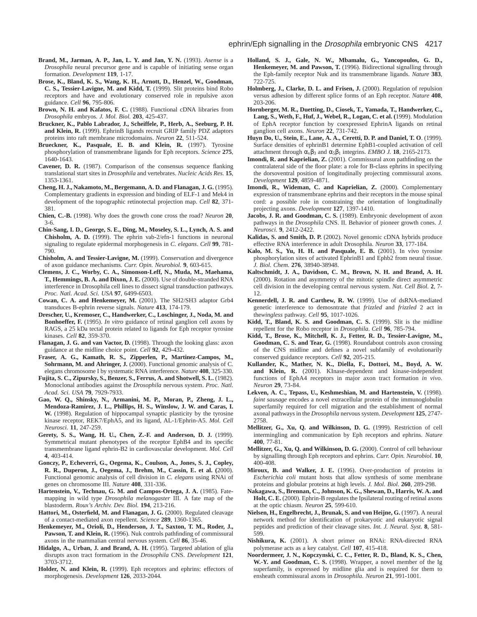- **Brand, M., Jarman, A. P., Jan, L. Y. and Jan, Y. N.** (1993). *Asense* is a *Drosophila* neural precursor gene and is capable of initiating sense organ formation. *Development* **119**, 1-17.
- **Brose, K., Bland, K. S., Wang, K. H., Arnott, D., Henzel, W., Goodman, C. S., Tessier-Lavigne, M. and Kidd, T.** (1999). Slit proteins bind Robo receptors and have and evolutionary conserved role in repulsive axon guidance. *Cell* **96**, 795-806.
- **Brown, N. H. and Kafatos, F. C.** (1988). Functional cDNA libraries from *Drosophila* embryos. *J. Mol. Biol.* **203**, 425-437.
- **Bruckner, K., Pablo Labrador, J., Scheiffele, P., Herb, A., Seeburg, P. H. and Klein, R.** (1999). EphrinB ligands recruit GRIP family PDZ adaptors proteins into raft membrane microdomains. *Neuron* **22**, 511-524.
- **Brueckner, K., Pasquale, E. B. and Klein, R.** (1997). Tyrosine phosphorylation of transmembrane ligands for Eph receptors. *Science* **275**, 1640-1643.
- **Cavener, D. R.** (1987). Comparison of the consensus sequence flanking translational start sites in *Drosophila* and vertebrates. *Nucleic Acids Res.* **15**, 1353-1361.
- **Cheng, H. J., Nakamoto, M., Bergemann, A. D. and Flanagan, J. G.** (1995). Complementary gradients in expression and binding of ELF-1 and Mek4 in development of the topographic retinotectal projection map. *Cell* **82**, 371- 381.
- **Chien, C.-B.** (1998). Why does the growth cone cross the road? *Neuron* **20**, 3-6.
- **Chin-Sang, I. D., George, S. E., Ding, M., Moseley, S. L., Lynch, A. S. and Chisholm, A. D.** (1999). The ephrin vab-2/efn-1 functions in neuronal signaling to regulate epidermal morphogenesis in *C. elegans*. *Cell* **99**, 781- 790.
- **Chisholm, A. and Tessier-Lavigne, M.** (1999). Conservation and divergence of axon guidance mechanisms. *Curr. Opin. Neurobiol.* **9**, 603-615.
- **Clemens, J. C., Worby, C. A., Simonson-Leff, N., Muda, M., Maehama, T., Hemmings, B. A. and Dixon, J. E.** (2000). Use of double-stranded RNA interference in Drosophila cell lines to dissect signal transduction pathways. *Proc. Natl. Acad. Sci. USA* **97**, 6499-6503.
- **Cowan, C. A. and Henkemeyer, M.** (2001). The SH2/SH3 adaptor Grb4 transduces B-ephrin reverse signals. *Nature* **413**, 174-179.
- **Drescher, U., Kremoser, C., Handwerker, C., Loschinger, J., Noda, M. and Bonhoeffer, F.** (1995). *In vitro* guidance of retinal ganglion cell axons by RAGS, a 25 kDa tectal protein related to ligands for Eph receptor tyrosine kinases. *Cell* **82**, 359-370.
- **Flanagan, J. G. and van Vactor, D.** (1998). Through the looking glass: axon guidance at the midline choice point. *Cell* **92**, 429-432.
- **Fraser, A. G., Kamath, R. S., Zipperlen, P., Martinez-Campos, M., Sohrmann, M. and Ahringer, J.** (2000). Functional genomic analysis of C. elegans chromosome I by systematic RNA interference. *Nature* **408**, 325-330.
- **Fujita, S. C., Zipursky, S., Benzer, S., Ferrus, A. and Shotwell, S. L.** (1982). Monoclonal antibodies against the *Drosophila* nervous system. *Proc. Natl. Acad. Sci. USA* **79**, 7929-7933.
- **Gao, W. Q., Shinsky, N., Armanini, M. P., Moran, P., Zheng, J. L., Mendoza-Ramirez, J. L., Phillips, H. S., Winslow, J. W. and Caras, I. W.** (1998). Regulation of hippocampal synaptic plasticity by the tyrosine kinase receptor, REK7/EphA5, and its ligand, AL-1/Ephrin-A5. *Mol. Cell Neurosci.* **11**, 247-259.
- **Gerety, S. S., Wang, H. U., Chen, Z.-F. and Anderson, D. J.** (1999). Symmetrical mutant phenotypes of the receptor EphB4 and its specific transmembrane ligand ephrin-B2 in cardiovascular development. *Mol. Cell* **4**, 403-414.
- **Gonczy, P., Echeverri, G., Oegema, K., Coulson, A., Jones, S. J., Copley, R. R., Duperon, J., Oegema, J., Brehm, M., Cassin, E. et al. (**2000). Functional genomic analysis of cell division in *C. elegans* using RNAi of genes on chromosome III. *Nature* **408**, 331-336.
- **Hartenstein, V., Technau, G. M. and Campos-Ortega, J. A.** (1985). Fatemapping in wild type *Drosophila melanogaster* III. A fate map of the blastoderm. *Roux's Archiv. Dev. Biol.* **194**, 213-216.
- **Hattori, M., Osterfield, M. and Flanagan, J. G.** (2000). Regulated cleavage of a contact-mediated axon repellent. *Science* **289**, 1360-1365.
- **Henkemeyer, M., Orioli, D., Henderson, J. T., Saxton, T. M., Roder, J.,** Pawson, T. and Klein, R. (1996). Nuk controls pathfinding of commissural axons in the mammalian central nervous system. *Cell* **86**, 35-46.
- **Hidalgo, A., Urban, J. and Brand, A. H.** (1995). Targeted ablation of glia disrupts axon tract formatiom in the *Drosophila* CNS. *Development* **121**, 3703-3712.
- **Holder, N. and Klein, R.** (1999). Eph receptors and ephrins: effectors of morphogenesis. *Development* **126**, 2033-2044.
- **Holland, S. J., Gale, N. W., Mbamalu, G., Yancopoulos, G. D., Henkemeyer, M. and Pawson, T.** (1996). Bidirectional signalling through the Eph-family receptor Nuk and its transmembrane ligands. *Nature* **383**, 722-725.
- **Holmberg, J., Clarke, D. L. and Frisen, J.** (2000). Regulation of repulsion versus adhesion by different splice forms of an Eph receptor. *Nature* **408**, 203-206.
- **Hornberger, M. R., Duetting, D., Ciosek, T., Yamada, T., Handwerker, C., Lang, S., Weth, F., Huf, J., Webel, R., Logan, C. et al. (**1999). Modulation of EphA receptor function by coexpressed EphrinA ligands on retinal ganglion cell axons. *Neuron* **22**, 731-742.
- **Huyn Do, U., Stein, E., Lane, A. A., Ceretti, D. P. and Daniel, T. O**. (1999). Surface densities of ephrinB1 determine EphB1-coupled activation of cell attachment through  $\alpha$ <sub>v</sub> $\beta$ <sub>3</sub> and  $\alpha$ <sub>5</sub> $\beta$ <sub>1</sub> integrins. *EMBO J*. **18**, 2165-2173.
- **Imondi, R. and Kaprielian, Z.** (2001). Commissural axon pathfinding on the contralateral side of the floor plate: a role for B-class ephrins in specifying the dorsoventral position of longitudinally projecting commissural axons. *Development* **129**, 4859-4871.
- **Imondi, R., Wideman, C. and Kaprielian, Z.** (2000). Complementary expression of transmembrane ephrins and their receptors in the mouse spinal cord: a possible role in constraining the orientation of longitudinally projecting axons. *Development* **127**, 1397-1410.
- **Jacobs, J. R. and Goodman, C. S.** (1989). Embryonic development of axon pathways in the *Drosophila* CNS. II. Behavior of pioneer growth cones. *J. Neurosci.* **9**, 2412-2422.
- **Kalidas, S. and Smith, D. P.** (2002). Novel genomic cDNA hybrids produce effective RNA interference in adult Drosophila. *Neuron* **33**, 177-184.
- **Kalo, M. S., Yu, H. H. and Pasquale, E. B.** (2001). In vivo tyrosine phosphorylation sites of activated EphrinB1 and Ephb2 from neural tissue. *J. Biol. Chem.* **276**, 38940-38948.
- **Kaltschmidt, J. A., Davidson, C. M., Brown, N. H. and Brand, A. H.** (2000). Rotation and asymmetry of the mitotic spindle direct asymmetric cell division in the developing central nervous system. *Nat. Cell Biol.* **2**, 7- 12.
- **Kennerdell, J. R. and Carthew, R. W.** (1999). Use of dsRNA-mediated genetic interference to demosntrate that *frizzled* and *frizzled* 2 act in the*wingless* pathway. *Cell* **95**, 1017-1026.
- **Kidd, T., Bland, K. S. and Goodman, C. S.** (1999). Slit is the midline repellent for the Robo receptor in *Drosophila*. *Cell* **96**, 785-794.
- **Kidd, T., Brose, K., Mitchell, K. J., Fetter, R. D., Tessier-Lavigne, M., Goodman, C. S. and Tear, G.** (1998). Roundabout controls axon crossing of the CNS midline and defines a novel subfamily of evolutionarily conserved guidance receptors. *Cell* **92**, 205-215.
- **Kullander, K., Mather, N. K., Diella, F., Dottori, M., Boyd, A. W. and Klein, R.** (2001). KInase-dependent and kinase-independent functions of EphA4 receptors in major axon tract formation *in vivo*. *Neuron* **29**, 73-84.
- **Lekven, A. C., Tepass, U., Keshmeshian, M. and Hartenstein, V.** (1998). *faint sausage* encodes a novel extracellular protein of the immunoglobulin superfamily required for cell migration and the establishment of normal axonal pathways in the *Drosophila* nervous system. *Development* **125**, 2747- 2758.
- **Mellitzer, G., Xu, Q. and Wilkinson, D. G.** (1999). Restriction of cell intermingling and communication by Eph receptors and ephrins. *Nature* **400**, 77-81.
- **Mellitzer, G., Xu, Q. and Wilkinson, D. G.** (2000). Control of cell behaviour by signalling through Eph receptors and ephrins. *Curr. Opin. Neurobiol.* **10**, 400-408.
- **Miroux, B. and Walker, J. E.** (1996). Over-production of proteins in *Escherichia coli* mutant hosts that allow synthesis of some membrane proteins and globular proteins at high levels. *J. Mol. Biol.* **260**, 289-298.
- **Nakagawa, S., Brennan, C., Johnson, K. G., Shewan, D., Harris, W. A. and Holt, C. E.** (2000). Ephrin-B regulates the Ipsilateral routing of retinal axons at the optic chiasm. *Neuron* **25**, 599-610.
- **Nielsen, H., Engelbrecht, J., Brunak, S. and von Heijne, G.** (1997). A neural network method for identification of prokaryotic and eukaryotic signal peptides and prediction of their cleavage sites. *Int. J. Neural. Syst.* **8**, 581- 599.
- **Nishikura, K.** (2001). A short primer on RNAi: RNA-directed RNA polymerase acts as a key catalyst. *Cell* **107**, 415-418.
- **Noordermeer, J. N., Kopczynski, C. C., Fetter, R. D., Bland, K. S., Chen, W.-Y. and Goodman, C. S.** (1998). Wrapper, a novel member of the Ig superfamily, is expressed by midline glia and is required for them to ensheath commissural axons in *Drosophila. Neuron* **21**, 991-1001.